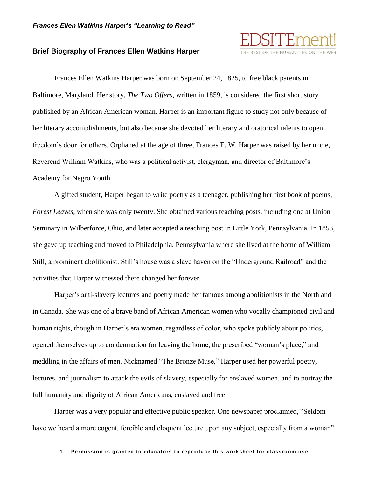

## **Brief Biography of Frances Ellen Watkins Harper**

Frances Ellen Watkins Harper was born on September 24, 1825, to free black parents in Baltimore, Maryland. Her story, *The Two Offers*, written in 1859, is considered the first short story published by an African American woman. Harper is an important figure to study not only because of her literary accomplishments, but also because she devoted her literary and oratorical talents to open freedom's door for others. Orphaned at the age of three, Frances E. W. Harper was raised by her uncle, Reverend William Watkins, who was a political activist, clergyman, and director of Baltimore's Academy for Negro Youth.

A gifted student, Harper began to write poetry as a teenager, publishing her first book of poems, *Forest Leaves*, when she was only twenty. She obtained various teaching posts, including one at Union Seminary in Wilberforce, Ohio, and later accepted a teaching post in Little York, Pennsylvania. In 1853, she gave up teaching and moved to Philadelphia, Pennsylvania where she lived at the home of William Still, a prominent abolitionist. Still's house was a slave haven on the "Underground Railroad" and the activities that Harper witnessed there changed her forever.

Harper's anti-slavery lectures and poetry made her famous among abolitionists in the North and in Canada. She was one of a brave band of African American women who vocally championed civil and human rights, though in Harper's era women, regardless of color, who spoke publicly about politics, opened themselves up to condemnation for leaving the home, the prescribed "woman's place," and meddling in the affairs of men. Nicknamed "The Bronze Muse," Harper used her powerful poetry, lectures, and journalism to attack the evils of slavery, especially for enslaved women, and to portray the full humanity and dignity of African Americans, enslaved and free.

Harper was a very popular and effective public speaker. One newspaper proclaimed, "Seldom have we heard a more cogent, forcible and eloquent lecture upon any subject, especially from a woman"